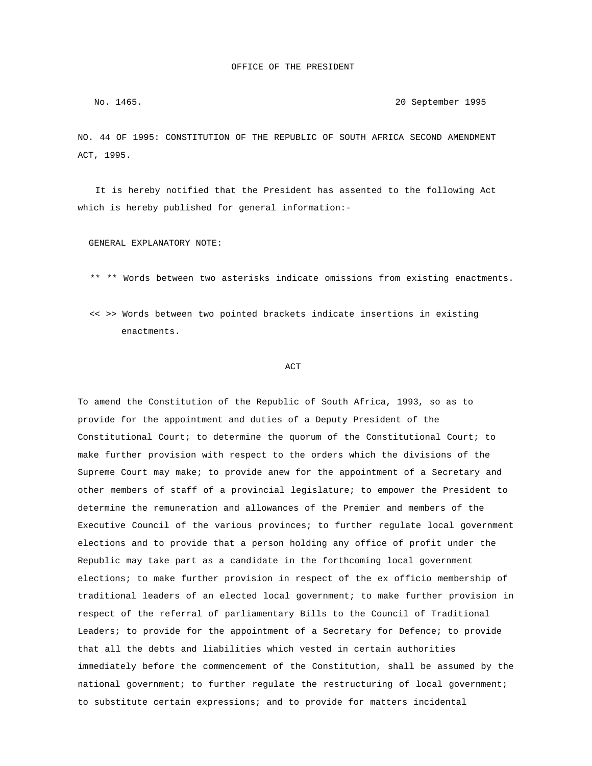NO. 44 OF 1995: CONSTITUTION OF THE REPUBLIC OF SOUTH AFRICA SECOND AMENDMENT ACT, 1995.

 It is hereby notified that the President has assented to the following Act which is hereby published for general information:-

GENERAL EXPLANATORY NOTE:

\*\* \*\* Words between two asterisks indicate omissions from existing enactments.

 << >> Words between two pointed brackets indicate insertions in existing enactments.

## **ACT**

To amend the Constitution of the Republic of South Africa, 1993, so as to provide for the appointment and duties of a Deputy President of the Constitutional Court; to determine the quorum of the Constitutional Court; to make further provision with respect to the orders which the divisions of the Supreme Court may make; to provide anew for the appointment of a Secretary and other members of staff of a provincial legislature; to empower the President to determine the remuneration and allowances of the Premier and members of the Executive Council of the various provinces; to further regulate local government elections and to provide that a person holding any office of profit under the Republic may take part as a candidate in the forthcoming local government elections; to make further provision in respect of the ex officio membership of traditional leaders of an elected local government; to make further provision in respect of the referral of parliamentary Bills to the Council of Traditional Leaders; to provide for the appointment of a Secretary for Defence; to provide that all the debts and liabilities which vested in certain authorities immediately before the commencement of the Constitution, shall be assumed by the national government; to further regulate the restructuring of local government; to substitute certain expressions; and to provide for matters incidental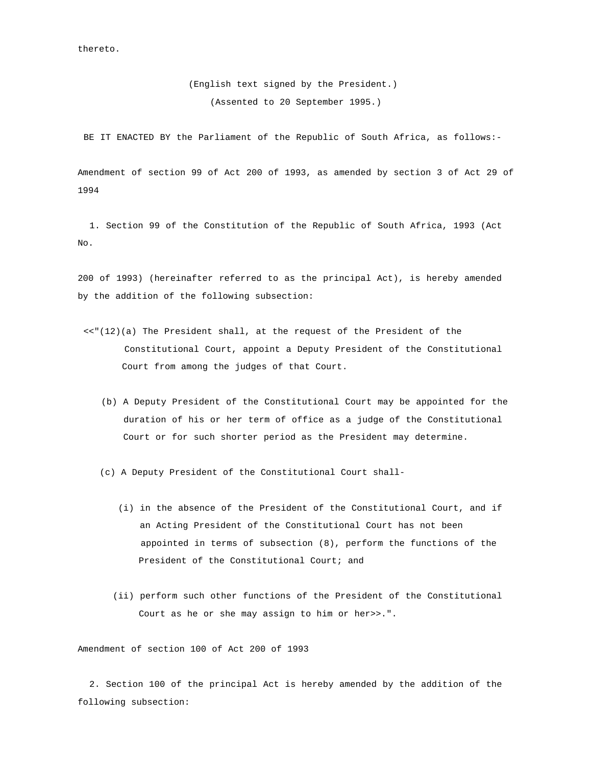thereto.

 (English text signed by the President.) (Assented to 20 September 1995.)

BE IT ENACTED BY the Parliament of the Republic of South Africa, as follows:-

Amendment of section 99 of Act 200 of 1993, as amended by section 3 of Act 29 of 1994

 1. Section 99 of the Constitution of the Republic of South Africa, 1993 (Act No.

200 of 1993) (hereinafter referred to as the principal Act), is hereby amended by the addition of the following subsection:

- $\langle$  <"(12)(a) The President shall, at the request of the President of the Constitutional Court, appoint a Deputy President of the Constitutional Court from among the judges of that Court.
	- (b) A Deputy President of the Constitutional Court may be appointed for the duration of his or her term of office as a judge of the Constitutional Court or for such shorter period as the President may determine.

(c) A Deputy President of the Constitutional Court shall-

- (i) in the absence of the President of the Constitutional Court, and if an Acting President of the Constitutional Court has not been appointed in terms of subsection (8), perform the functions of the President of the Constitutional Court; and
- (ii) perform such other functions of the President of the Constitutional Court as he or she may assign to him or her>>.".

Amendment of section 100 of Act 200 of 1993

 2. Section 100 of the principal Act is hereby amended by the addition of the following subsection: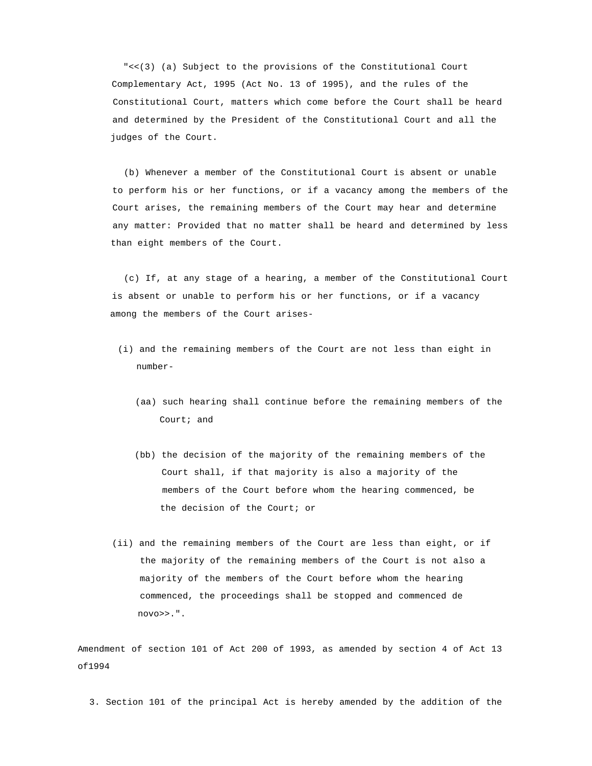"<<(3) (a) Subject to the provisions of the Constitutional Court Complementary Act, 1995 (Act No. 13 of 1995), and the rules of the Constitutional Court, matters which come before the Court shall be heard and determined by the President of the Constitutional Court and all the judges of the Court.

 (b) Whenever a member of the Constitutional Court is absent or unable to perform his or her functions, or if a vacancy among the members of the Court arises, the remaining members of the Court may hear and determine any matter: Provided that no matter shall be heard and determined by less than eight members of the Court.

 (c) If, at any stage of a hearing, a member of the Constitutional Court is absent or unable to perform his or her functions, or if a vacancy among the members of the Court arises-

- (i) and the remaining members of the Court are not less than eight in number-
	- (aa) such hearing shall continue before the remaining members of the Court; and
	- (bb) the decision of the majority of the remaining members of the Court shall, if that majority is also a majority of the members of the Court before whom the hearing commenced, be the decision of the Court; or
- (ii) and the remaining members of the Court are less than eight, or if the majority of the remaining members of the Court is not also a majority of the members of the Court before whom the hearing commenced, the proceedings shall be stopped and commenced de novo>>.".

Amendment of section 101 of Act 200 of 1993, as amended by section 4 of Act 13 of1994

3. Section 101 of the principal Act is hereby amended by the addition of the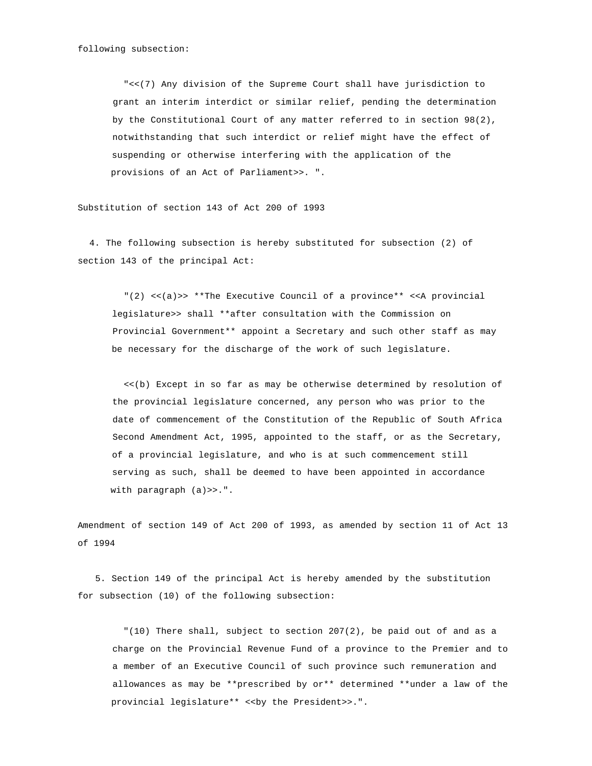"<<(7) Any division of the Supreme Court shall have jurisdiction to grant an interim interdict or similar relief, pending the determination by the Constitutional Court of any matter referred to in section 98(2), notwithstanding that such interdict or relief might have the effect of suspending or otherwise interfering with the application of the provisions of an Act of Parliament>>. ".

Substitution of section 143 of Act 200 of 1993

 4. The following subsection is hereby substituted for subsection (2) of section 143 of the principal Act:

 $!(2)$  <<(a)>> \*\*The Executive Council of a province\*\* <<A provincial legislature>> shall \*\*after consultation with the Commission on Provincial Government\*\* appoint a Secretary and such other staff as may be necessary for the discharge of the work of such legislature.

 <<(b) Except in so far as may be otherwise determined by resolution of the provincial legislature concerned, any person who was prior to the date of commencement of the Constitution of the Republic of South Africa Second Amendment Act, 1995, appointed to the staff, or as the Secretary, of a provincial legislature, and who is at such commencement still serving as such, shall be deemed to have been appointed in accordance with paragraph (a)>>.".

Amendment of section 149 of Act 200 of 1993, as amended by section 11 of Act 13 of 1994

 5. Section 149 of the principal Act is hereby amended by the substitution for subsection (10) of the following subsection:

 "(10) There shall, subject to section 207(2), be paid out of and as a charge on the Provincial Revenue Fund of a province to the Premier and to a member of an Executive Council of such province such remuneration and allowances as may be \*\*prescribed by or\*\* determined \*\*under a law of the provincial legislature\*\* <<br/>by the President>>.".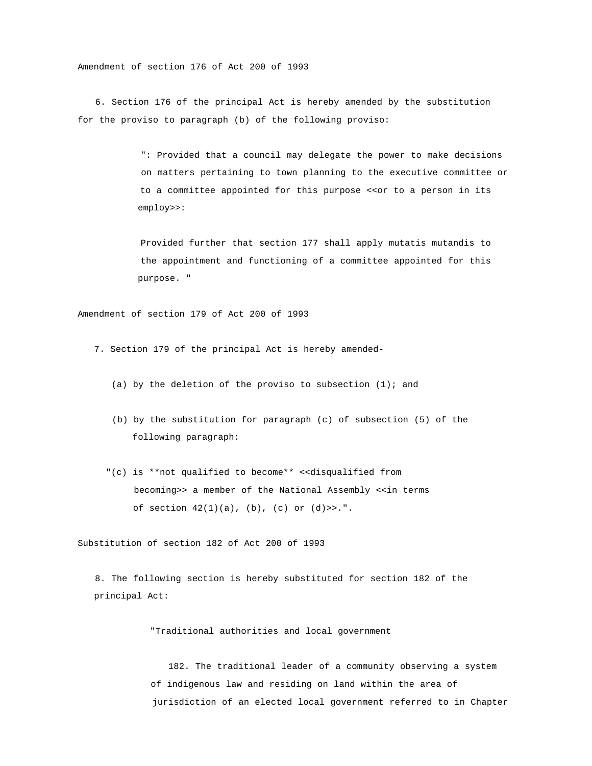Amendment of section 176 of Act 200 of 1993

 6. Section 176 of the principal Act is hereby amended by the substitution for the proviso to paragraph (b) of the following proviso:

> ": Provided that a council may delegate the power to make decisions on matters pertaining to town planning to the executive committee or to a committee appointed for this purpose <<or to a person in its employ>>:

 Provided further that section 177 shall apply mutatis mutandis to the appointment and functioning of a committee appointed for this purpose. "

Amendment of section 179 of Act 200 of 1993

- 7. Section 179 of the principal Act is hereby amended-
	- (a) by the deletion of the proviso to subsection  $(1)$ ; and
	- (b) by the substitution for paragraph (c) of subsection (5) of the following paragraph:
	- "(c) is \*\*not qualified to become\*\* <<disqualified from becoming>> a member of the National Assembly <<in terms of section  $42(1)(a)$ , (b), (c) or  $(d) >> .$ ".

Substitution of section 182 of Act 200 of 1993

 8. The following section is hereby substituted for section 182 of the principal Act:

"Traditional authorities and local government

 182. The traditional leader of a community observing a system of indigenous law and residing on land within the area of jurisdiction of an elected local government referred to in Chapter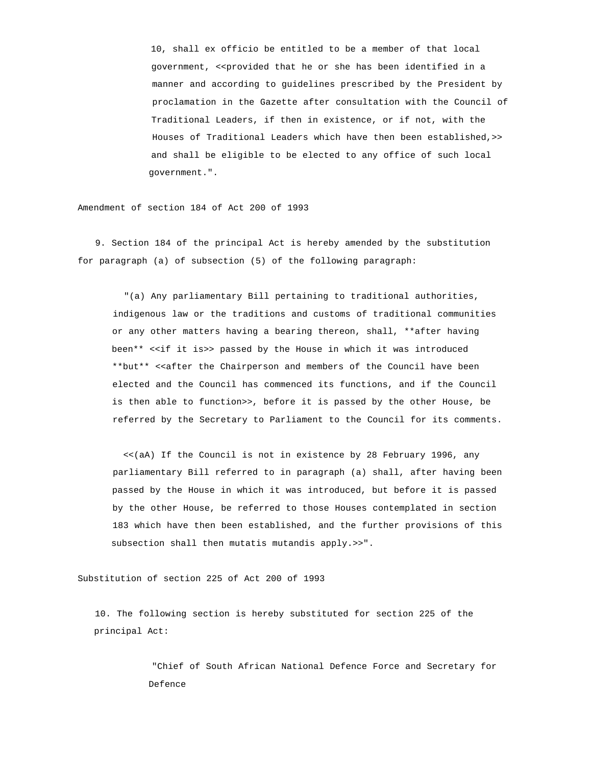10, shall ex officio be entitled to be a member of that local government, << provided that he or she has been identified in a manner and according to guidelines prescribed by the President by proclamation in the Gazette after consultation with the Council of Traditional Leaders, if then in existence, or if not, with the Houses of Traditional Leaders which have then been established,>> and shall be eligible to be elected to any office of such local government.".

Amendment of section 184 of Act 200 of 1993

 9. Section 184 of the principal Act is hereby amended by the substitution for paragraph (a) of subsection (5) of the following paragraph:

 "(a) Any parliamentary Bill pertaining to traditional authorities, indigenous law or the traditions and customs of traditional communities or any other matters having a bearing thereon, shall, \*\*after having been\*\* <<if it is>> passed by the House in which it was introduced \*\*but\*\* <<after the Chairperson and members of the Council have been elected and the Council has commenced its functions, and if the Council is then able to function>>, before it is passed by the other House, be referred by the Secretary to Parliament to the Council for its comments.

 <<(aA) If the Council is not in existence by 28 February 1996, any parliamentary Bill referred to in paragraph (a) shall, after having been passed by the House in which it was introduced, but before it is passed by the other House, be referred to those Houses contemplated in section 183 which have then been established, and the further provisions of this subsection shall then mutatis mutandis apply.>>".

Substitution of section 225 of Act 200 of 1993

 10. The following section is hereby substituted for section 225 of the principal Act:

> "Chief of South African National Defence Force and Secretary for Defence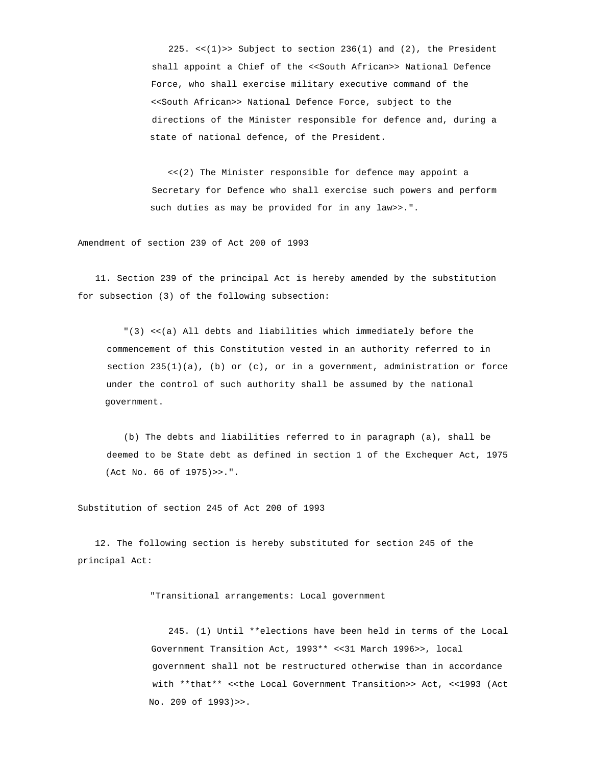225. <<(1)>> Subject to section 236(1) and (2), the President shall appoint a Chief of the <<South African>> National Defence Force, who shall exercise military executive command of the <<South African>> National Defence Force, subject to the directions of the Minister responsible for defence and, during a state of national defence, of the President.

 <<(2) The Minister responsible for defence may appoint a Secretary for Defence who shall exercise such powers and perform such duties as may be provided for in any law>>.".

Amendment of section 239 of Act 200 of 1993

 11. Section 239 of the principal Act is hereby amended by the substitution for subsection (3) of the following subsection:

 $\sqrt{(3)}$  <<(a) All debts and liabilities which immediately before the commencement of this Constitution vested in an authority referred to in section  $235(1)(a)$ , (b) or (c), or in a government, administration or force under the control of such authority shall be assumed by the national government.

 (b) The debts and liabilities referred to in paragraph (a), shall be deemed to be State debt as defined in section 1 of the Exchequer Act, 1975 (Act No. 66 of 1975)>>.".

Substitution of section 245 of Act 200 of 1993

 12. The following section is hereby substituted for section 245 of the principal Act:

"Transitional arrangements: Local government

 245. (1) Until \*\*elections have been held in terms of the Local Government Transition Act, 1993\*\* <<31 March 1996>>, local government shall not be restructured otherwise than in accordance with \*\*that\*\* <<the Local Government Transition>> Act, <<1993 (Act No. 209 of 1993)>>.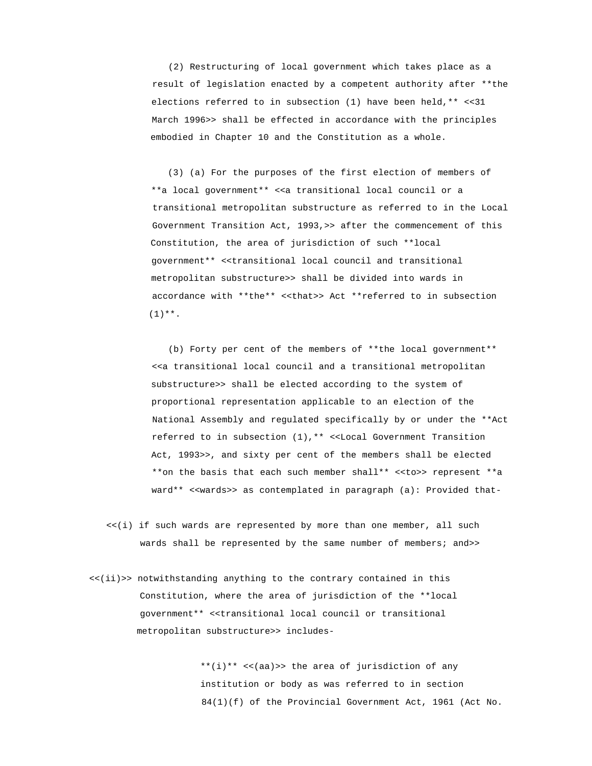(2) Restructuring of local government which takes place as a result of legislation enacted by a competent authority after \*\*the elections referred to in subsection (1) have been held,\*\* <<31 March 1996>> shall be effected in accordance with the principles embodied in Chapter 10 and the Constitution as a whole.

 (3) (a) For the purposes of the first election of members of \*\*a local government\*\* <<a transitional local council or a transitional metropolitan substructure as referred to in the Local Government Transition Act, 1993,>> after the commencement of this Constitution, the area of jurisdiction of such \*\*local government\*\* <<transitional local council and transitional metropolitan substructure>> shall be divided into wards in accordance with \*\*the\*\* <<that>> Act \*\*referred to in subsection  $(1)$ \*\*.

 (b) Forty per cent of the members of \*\*the local government\*\* <<a transitional local council and a transitional metropolitan substructure>> shall be elected according to the system of proportional representation applicable to an election of the National Assembly and regulated specifically by or under the \*\*Act referred to in subsection (1),\*\* <<Local Government Transition Act, 1993>>, and sixty per cent of the members shall be elected \*\*on the basis that each such member shall\*\* <<to>> represent \*\*a ward\*\* <<wards>> as contemplated in paragraph (a): Provided that-

- <<(i) if such wards are represented by more than one member, all such wards shall be represented by the same number of members; and>>
- <<(ii)>> notwithstanding anything to the contrary contained in this Constitution, where the area of jurisdiction of the \*\*local government\*\* <<transitional local council or transitional metropolitan substructure>> includes-

 \*\*(i)\*\* <<(aa)>> the area of jurisdiction of any institution or body as was referred to in section 84(1)(f) of the Provincial Government Act, 1961 (Act No.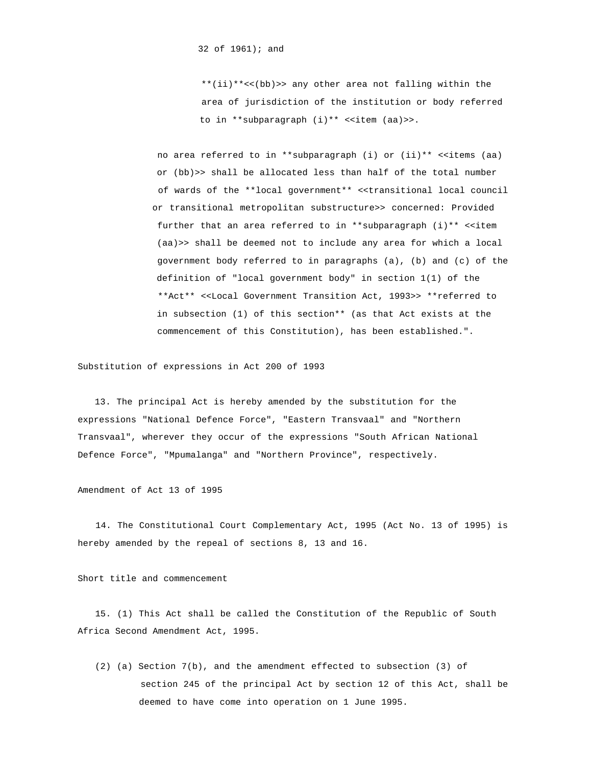\*\*(ii)\*\*<<(bb)>> any other area not falling within the area of jurisdiction of the institution or body referred to in \*\*subparagraph (i)\*\* <<item (aa)>>.

no area referred to in \*\*subparagraph (i) or (ii)\*\* <<items (aa) or (bb)>> shall be allocated less than half of the total number of wards of the \*\*local government\*\* <<transitional local council or transitional metropolitan substructure>> concerned: Provided further that an area referred to in \*\* subparagraph  $(i)$ \*\* <<iitem (aa)>> shall be deemed not to include any area for which a local government body referred to in paragraphs (a), (b) and (c) of the definition of "local government body" in section 1(1) of the \*\*Act\*\* <<Local Government Transition Act, 1993>> \*\*referred to in subsection (1) of this section\*\* (as that Act exists at the commencement of this Constitution), has been established.".

Substitution of expressions in Act 200 of 1993

 13. The principal Act is hereby amended by the substitution for the expressions "National Defence Force", "Eastern Transvaal" and "Northern Transvaal", wherever they occur of the expressions "South African National Defence Force", "Mpumalanga" and "Northern Province", respectively.

Amendment of Act 13 of 1995

 14. The Constitutional Court Complementary Act, 1995 (Act No. 13 of 1995) is hereby amended by the repeal of sections 8, 13 and 16.

Short title and commencement

 15. (1) This Act shall be called the Constitution of the Republic of South Africa Second Amendment Act, 1995.

 (2) (a) Section 7(b), and the amendment effected to subsection (3) of section 245 of the principal Act by section 12 of this Act, shall be deemed to have come into operation on 1 June 1995.